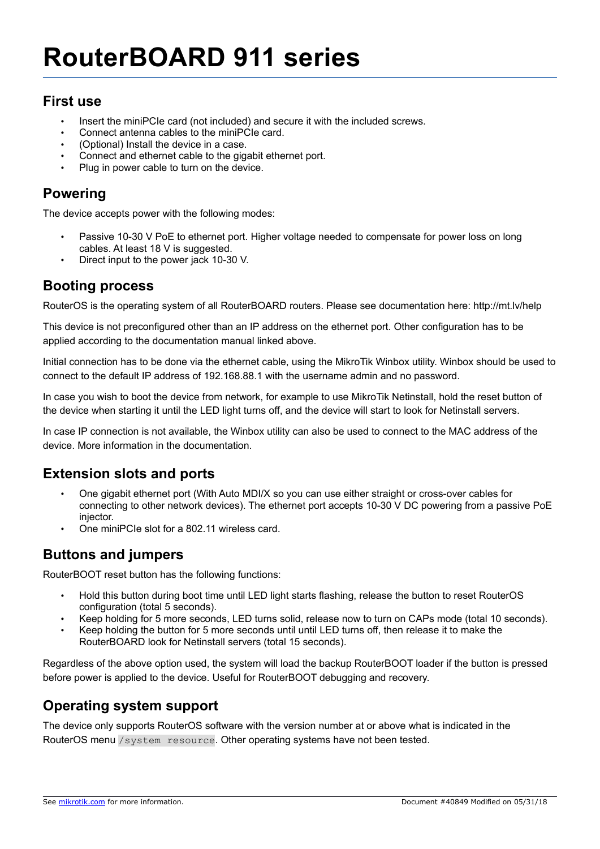### **First use**

- Insert the miniPCIe card (not included) and secure it with the included screws.
- Connect antenna cables to the miniPCIe card.
- (Optional) Install the device in a case.
- Connect and ethernet cable to the gigabit ethernet port.
- Plug in power cable to turn on the device.

## **Powering**

The device accepts power with the following modes:

- Passive 10-30 V PoE to ethernet port. Higher voltage needed to compensate for power loss on long cables. At least 18 V is suggested.
- Direct input to the power jack 10-30 V.

#### **Booting process**

RouterOS is the operating system of all RouterBOARD routers. Please see documentation here: http://mt.lv/help

This device is not preconfigured other than an IP address on the ethernet port. Other configuration has to be applied according to the documentation manual linked above.

Initial connection has to be done via the ethernet cable, using the MikroTik Winbox utility. Winbox should be used to connect to the default IP address of 192.168.88.1 with the username admin and no password.

In case you wish to boot the device from network, for example to use MikroTik Netinstall, hold the reset button of the device when starting it until the LED light turns off, and the device will start to look for Netinstall servers.

In case IP connection is not available, the Winbox utility can also be used to connect to the MAC address of the device. More information in the documentation.

### **Extension slots and ports**

- One gigabit ethernet port (With Auto MDI/X so you can use either straight or cross-over cables for connecting to other network devices). The ethernet port accepts 10-30 V DC powering from a passive PoE injector.
- One miniPCIe slot for a 802.11 wireless card.

# **Buttons and jumpers**

RouterBOOT reset button has the following functions:

- Hold this button during boot time until LED light starts flashing, release the button to reset RouterOS configuration (total 5 seconds).
- Keep holding for 5 more seconds, LED turns solid, release now to turn on CAPs mode (total 10 seconds).
- Keep holding the button for 5 more seconds until until LED turns off, then release it to make the RouterBOARD look for Netinstall servers (total 15 seconds).

Regardless of the above option used, the system will load the backup RouterBOOT loader if the button is pressed before power is applied to the device. Useful for RouterBOOT debugging and recovery.

# **Operating system support**

The device only supports RouterOS software with the version number at or above what is indicated in the RouterOS menu /system resource. Other operating systems have not been tested.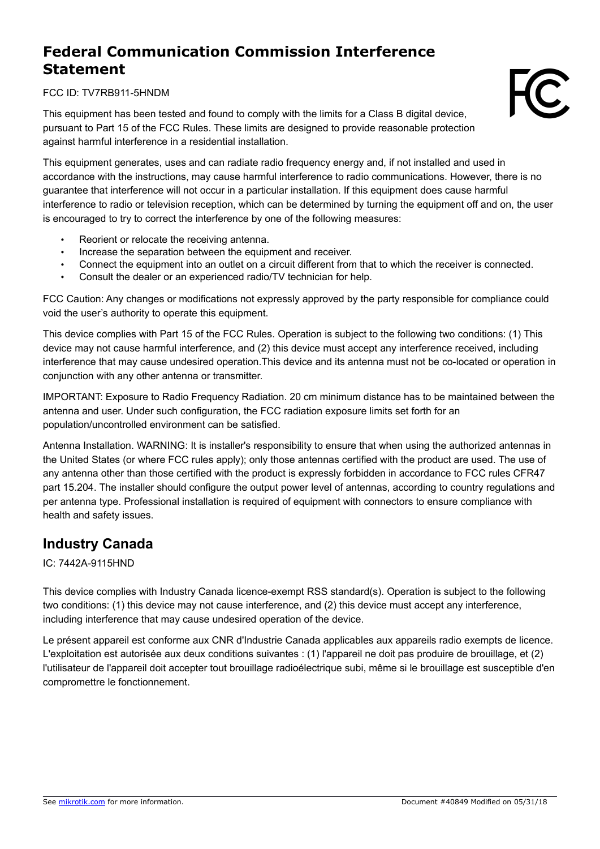# **Federal Communication Commission Interference Statement**

FCC ID: TV7RB911-5HNDM

This equipment has been tested and found to comply with the limits for a Class B digital device, pursuant to Part 15 of the FCC Rules. These limits are designed to provide reasonable protection against harmful interference in a residential installation.

This equipment generates, uses and can radiate radio frequency energy and, if not installed and used in accordance with the instructions, may cause harmful interference to radio communications. However, there is no guarantee that interference will not occur in a particular installation. If this equipment does cause harmful interference to radio or television reception, which can be determined by turning the equipment off and on, the user is encouraged to try to correct the interference by one of the following measures:

- Reorient or relocate the receiving antenna.
- Increase the separation between the equipment and receiver.
- Connect the equipment into an outlet on a circuit different from that to which the receiver is connected.
- Consult the dealer or an experienced radio/TV technician for help.

FCC Caution: Any changes or modifications not expressly approved by the party responsible for compliance could void the user's authority to operate this equipment.

This device complies with Part 15 of the FCC Rules. Operation is subject to the following two conditions: (1) This device may not cause harmful interference, and (2) this device must accept any interference received, including interference that may cause undesired operation.This device and its antenna must not be co-located or operation in conjunction with any other antenna or transmitter.

IMPORTANT: Exposure to Radio Frequency Radiation. 20 cm minimum distance has to be maintained between the antenna and user. Under such configuration, the FCC radiation exposure limits set forth for an population/uncontrolled environment can be satisfied.

Antenna Installation. WARNING: It is installer's responsibility to ensure that when using the authorized antennas in the United States (or where FCC rules apply); only those antennas certified with the product are used. The use of any antenna other than those certified with the product is expressly forbidden in accordance to FCC rules CFR47 part 15.204. The installer should configure the output power level of antennas, according to country regulations and per antenna type. Professional installation is required of equipment with connectors to ensure compliance with health and safety issues.

# **Industry Canada**

IC: 7442A-9115HND

This device complies with Industry Canada licence-exempt RSS standard(s). Operation is subject to the following two conditions: (1) this device may not cause interference, and (2) this device must accept any interference, including interference that may cause undesired operation of the device.

Le présent appareil est conforme aux CNR d'Industrie Canada applicables aux appareils radio exempts de licence. L'exploitation est autorisée aux deux conditions suivantes : (1) l'appareil ne doit pas produire de brouillage, et (2) l'utilisateur de l'appareil doit accepter tout brouillage radioélectrique subi, même si le brouillage est susceptible d'en compromettre le fonctionnement.